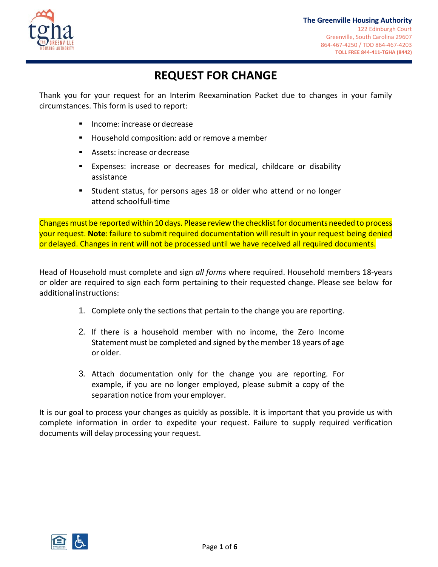

# **REQUEST FOR CHANGE**

Thank you for your request for an Interim Reexamination Packet due to changes in your family circumstances. This form is used to report:

- Income: increase or decrease
- Household composition: add or remove a member
- Assets: increase or decrease
- Expenses: increase or decreases for medical, childcare or disability assistance
- Student status, for persons ages 18 or older who attend or no longer attend schoolfull-time

Changes must be reported within 10 days. Please review the checklist for documents needed to process your request. **Note**: failure to submit required documentation will result in your request being denied or delayed. Changes in rent will not be processed until we have received all required documents.

Head of Household must complete and sign *all forms* where required. Household members 18-years or older are required to sign each form pertaining to their requested change. Please see below for additional instructions:

- 1. Complete only the sections that pertain to the change you are reporting.
- 2. If there is a household member with no income, the Zero Income Statement must be completed and signed by the member 18 years of age or older.
- 3. Attach documentation only for the change you are reporting. For example, if you are no longer employed, please submit a copy of the separation notice from your employer.

It is our goal to process your changes as quickly as possible. It is important that you provide us with complete information in order to expedite your request. Failure to supply required verification documents will delay processing your request.

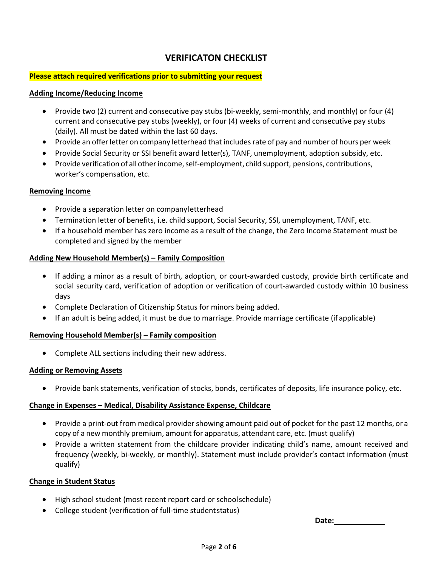# **VERIFICATON CHECKLIST**

### **Please attach required verifications prior to submitting your request**

#### **Adding Income/Reducing Income**

- Provide two (2) current and consecutive pay stubs (bi-weekly, semi-monthly, and monthly) or four (4) current and consecutive pay stubs (weekly), or four (4) weeks of current and consecutive pay stubs (daily). All must be dated within the last 60 days.
- Provide an offer letter on company letterhead that includes rate of pay and number of hours per week
- Provide Social Security or SSI benefit award letter(s), TANF, unemployment, adoption subsidy, etc.
- Provide verification of all other income, self-employment, child support, pensions, contributions, worker's compensation, etc.

### **Removing Income**

- Provide a separation letter on company letterhead
- Termination letter of benefits, i.e. child support, Social Security, SSI, unemployment, TANF, etc.
- If a household member has zero income as a result of the change, the Zero Income Statement must be completed and signed by the member

### **Adding New Household Member(s) – Family Composition**

- If adding a minor as a result of birth, adoption, or court-awarded custody, provide birth certificate and social security card, verification of adoption or verification of court-awarded custody within 10 business days
- Complete Declaration of Citizenship Status for minors being added.
- If an adult is being added, it must be due to marriage. Provide marriage certificate (if applicable)

### **Removing Household Member(s) – Family composition**

• Complete ALL sections including their new address.

#### **Adding or Removing Assets**

• Provide bank statements, verification of stocks, bonds, certificates of deposits, life insurance policy, etc.

### **Change in Expenses – Medical, Disability Assistance Expense, Childcare**

- Provide a print-out from medical provider showing amount paid out of pocket for the past 12 months, or a copy of a new monthly premium, amount for apparatus, attendant care, etc. (must qualify)
- Provide a written statement from the childcare provider indicating child's name, amount received and frequency (weekly, bi-weekly, or monthly). Statement must include provider's contact information (must qualify)

### **Change in Student Status**

- High school student (most recent report card or schoolschedule)
- College student (verification of full-time studentstatus)

**Date:**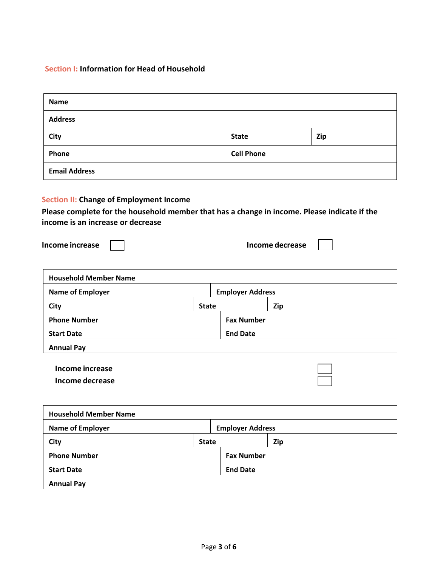# **Section I: Information for Head of Household**

| <b>Name</b>                                                                                                                                                                                            |              |                         |                   |  |
|--------------------------------------------------------------------------------------------------------------------------------------------------------------------------------------------------------|--------------|-------------------------|-------------------|--|
| <b>Address</b>                                                                                                                                                                                         |              |                         |                   |  |
| <b>City</b>                                                                                                                                                                                            |              | <b>State</b>            | Zip               |  |
| Phone                                                                                                                                                                                                  |              | <b>Cell Phone</b>       |                   |  |
| <b>Email Address</b>                                                                                                                                                                                   |              |                         |                   |  |
| <b>Section II: Change of Employment Income</b><br>Please complete for the household member that has a change in income. Please indicate if the<br>income is an increase or decrease<br>Income increase |              |                         | Income decrease   |  |
| <b>Household Member Name</b>                                                                                                                                                                           |              |                         |                   |  |
| <b>Name of Employer</b>                                                                                                                                                                                |              | <b>Employer Address</b> |                   |  |
| <b>City</b>                                                                                                                                                                                            | <b>State</b> |                         | Zip               |  |
| <b>Phone Number</b>                                                                                                                                                                                    |              |                         | <b>Fax Number</b> |  |
| <b>Start Date</b>                                                                                                                                                                                      |              | <b>End Date</b>         |                   |  |
| <b>Annual Pay</b>                                                                                                                                                                                      |              |                         |                   |  |
| <b>Income increase</b><br>Income decrease                                                                                                                                                              |              |                         |                   |  |
| Household Member Name                                                                                                                                                                                  |              |                         |                   |  |

| <b>Household Member Name</b> |              |                         |     |  |
|------------------------------|--------------|-------------------------|-----|--|
| <b>Name of Employer</b>      |              | <b>Employer Address</b> |     |  |
| City                         | <b>State</b> |                         | Zip |  |
| <b>Phone Number</b>          |              | <b>Fax Number</b>       |     |  |
| <b>Start Date</b>            |              | <b>End Date</b>         |     |  |
| <b>Annual Pay</b>            |              |                         |     |  |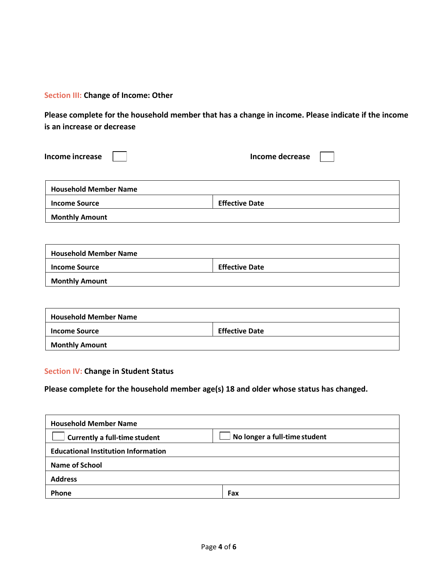### **Section III: Change of Income: Other**

**Please complete for the household member that has a change in income. Please indicate if the income is an increase or decrease**

| Income decrease       |  |
|-----------------------|--|
|                       |  |
| <b>Effective Date</b> |  |
|                       |  |
|                       |  |
|                       |  |
| <b>Effective Date</b> |  |
|                       |  |

| <b>Monthly Amount</b> |
|-----------------------|
|-----------------------|

| <b>Household Member Name</b> |                       |
|------------------------------|-----------------------|
| <b>Income Source</b>         | <b>Effective Date</b> |
| <b>Monthly Amount</b>        |                       |

### **Section IV: Change in Student Status**

### **Please complete for the household member age(s) 18 and older whose status has changed.**

| <b>Household Member Name</b>               |                               |
|--------------------------------------------|-------------------------------|
| Currently a full-time student              | No longer a full-time student |
| <b>Educational Institution Information</b> |                               |
| <b>Name of School</b>                      |                               |
| <b>Address</b>                             |                               |
| Phone                                      | Fax                           |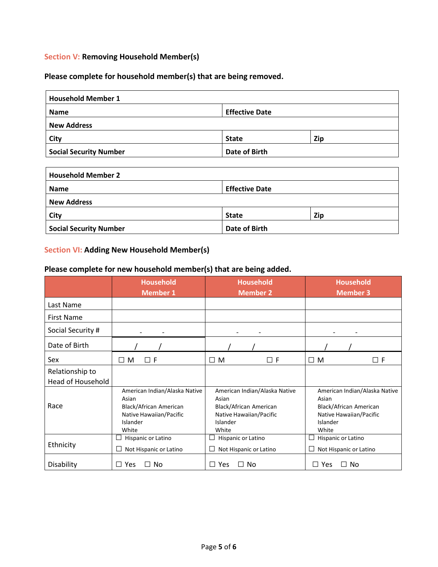### **Section V: Removing Household Member(s)**

### **Please complete for household member(s) that are being removed.**

| <b>Household Member 1</b>     |                       |     |  |
|-------------------------------|-----------------------|-----|--|
| <b>Name</b>                   | <b>Effective Date</b> |     |  |
| <b>New Address</b>            |                       |     |  |
| City                          | <b>State</b>          | Zip |  |
| <b>Social Security Number</b> | Date of Birth         |     |  |

| <b>Household Member 2</b>     |                       |     |  |
|-------------------------------|-----------------------|-----|--|
| <b>Name</b>                   | <b>Effective Date</b> |     |  |
| <b>New Address</b>            |                       |     |  |
| City                          | <b>State</b>          | Zip |  |
| <b>Social Security Number</b> | Date of Birth         |     |  |

# **Section VI: Adding New Household Member(s)**

# **Please complete for new household member(s) that are being added.**

|                          | <b>Household</b><br><b>Member 1</b>                                                                              | <b>Household</b><br><b>Member 2</b>                                                                              | <b>Household</b><br><b>Member 3</b>                                                                              |
|--------------------------|------------------------------------------------------------------------------------------------------------------|------------------------------------------------------------------------------------------------------------------|------------------------------------------------------------------------------------------------------------------|
| Last Name                |                                                                                                                  |                                                                                                                  |                                                                                                                  |
| <b>First Name</b>        |                                                                                                                  |                                                                                                                  |                                                                                                                  |
| Social Security #        |                                                                                                                  |                                                                                                                  |                                                                                                                  |
| Date of Birth            |                                                                                                                  |                                                                                                                  |                                                                                                                  |
| Sex                      | $\Box$ F<br>M<br>П                                                                                               | $\Box$ M<br>$\Box$ F                                                                                             | $\Box$ F<br>$\Box$ M                                                                                             |
| Relationship to          |                                                                                                                  |                                                                                                                  |                                                                                                                  |
| <b>Head of Household</b> |                                                                                                                  |                                                                                                                  |                                                                                                                  |
| Race                     | American Indian/Alaska Native<br>Asian<br>Black/African American<br>Native Hawaiian/Pacific<br>Islander<br>White | American Indian/Alaska Native<br>Asian<br>Black/African American<br>Native Hawaiian/Pacific<br>Islander<br>White | American Indian/Alaska Native<br>Asian<br>Black/African American<br>Native Hawaiian/Pacific<br>Islander<br>White |
| Ethnicity                | Hispanic or Latino<br>Not Hispanic or Latino                                                                     | Hispanic or Latino<br>Not Hispanic or Latino                                                                     | Hispanic or Latino<br>Not Hispanic or Latino                                                                     |
| Disability               | Yes<br>No                                                                                                        | $\Box$ Yes<br>No                                                                                                 | $\Box$ No<br>Yes<br>ΙI                                                                                           |